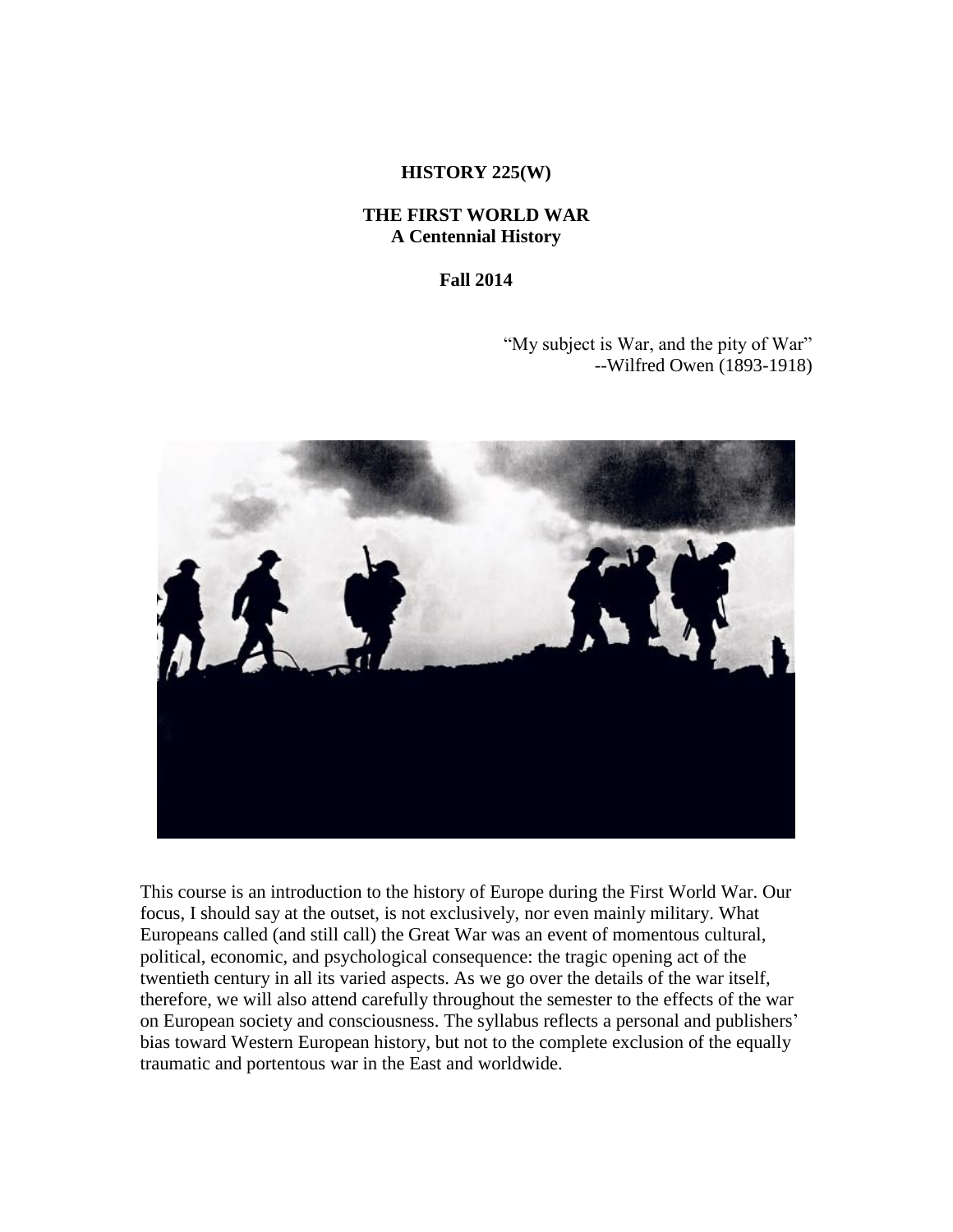## **HISTORY 225(W)**

## **THE FIRST WORLD WAR A Centennial History**

**Fall 2014**

"My subject is War, and the pity of War" --Wilfred Owen (1893-1918)



This course is an introduction to the history of Europe during the First World War. Our focus, I should say at the outset, is not exclusively, nor even mainly military. What Europeans called (and still call) the Great War was an event of momentous cultural, political, economic, and psychological consequence: the tragic opening act of the twentieth century in all its varied aspects. As we go over the details of the war itself, therefore, we will also attend carefully throughout the semester to the effects of the war on European society and consciousness. The syllabus reflects a personal and publishers' bias toward Western European history, but not to the complete exclusion of the equally traumatic and portentous war in the East and worldwide.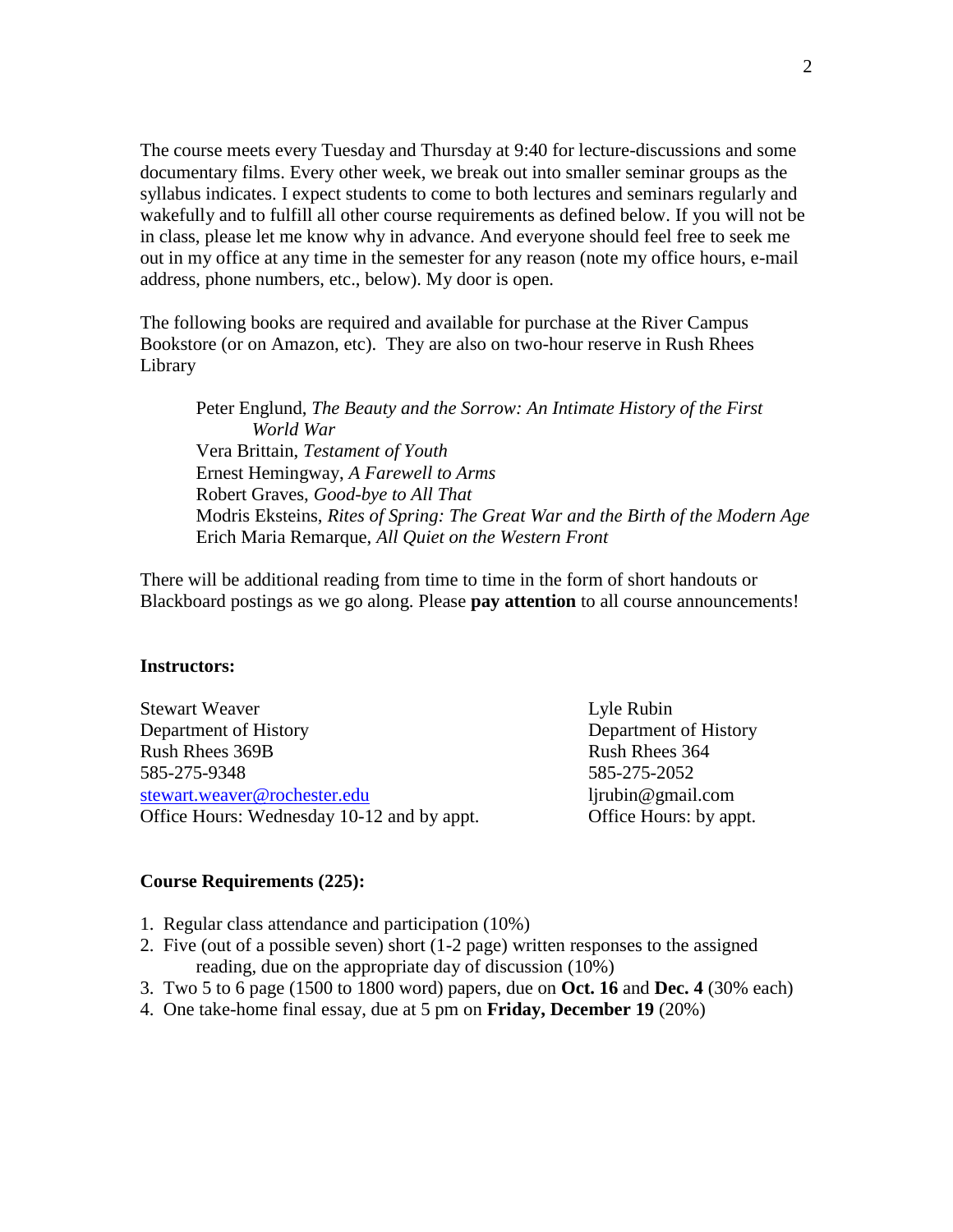The course meets every Tuesday and Thursday at 9:40 for lecture-discussions and some documentary films. Every other week, we break out into smaller seminar groups as the syllabus indicates. I expect students to come to both lectures and seminars regularly and wakefully and to fulfill all other course requirements as defined below. If you will not be in class, please let me know why in advance. And everyone should feel free to seek me out in my office at any time in the semester for any reason (note my office hours, e-mail address, phone numbers, etc., below). My door is open.

The following books are required and available for purchase at the River Campus Bookstore (or on Amazon, etc). They are also on two-hour reserve in Rush Rhees Library

Peter Englund, *The Beauty and the Sorrow: An Intimate History of the First World War* Vera Brittain, *Testament of Youth* Ernest Hemingway, *A Farewell to Arms* Robert Graves, *Good-bye to All That* Modris Eksteins, *Rites of Spring: The Great War and the Birth of the Modern Age* Erich Maria Remarque, *All Quiet on the Western Front*

There will be additional reading from time to time in the form of short handouts or Blackboard postings as we go along. Please **pay attention** to all course announcements!

#### **Instructors:**

Stewart Weaver **Lyle Rubin** Department of History Department of History Rush Rhees 369B Rush Rhees 364 585-275-9348 585-275-2052 [stewart.weaver@rochester.edu](mailto:stewart.weaver@rochester.edu) ljrubin@gmail.com Office Hours: Wednesday 10-12 and by appt. Office Hours: by appt.

#### **Course Requirements (225):**

- 1. Regular class attendance and participation (10%)
- 2. Five (out of a possible seven) short (1-2 page) written responses to the assigned reading, due on the appropriate day of discussion (10%)
- 3. Two 5 to 6 page (1500 to 1800 word) papers, due on **Oct. 16** and **Dec. 4** (30% each)
- 4. One take-home final essay, due at 5 pm on **Friday, December 19** (20%)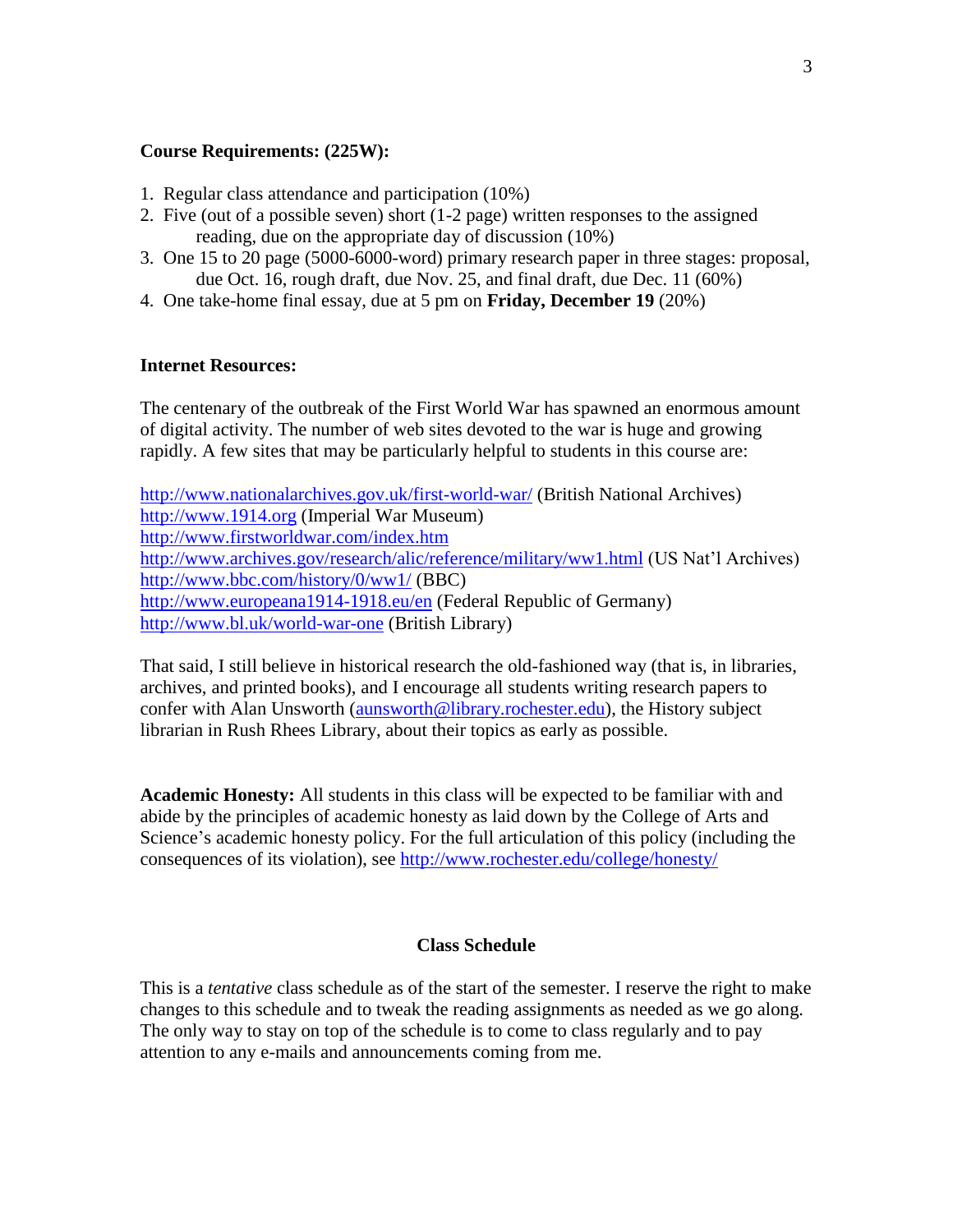## **Course Requirements: (225W):**

- 1. Regular class attendance and participation (10%)
- 2. Five (out of a possible seven) short (1-2 page) written responses to the assigned reading, due on the appropriate day of discussion (10%)
- 3. One 15 to 20 page (5000-6000-word) primary research paper in three stages: proposal, due Oct. 16, rough draft, due Nov. 25, and final draft, due Dec. 11 (60%)
- 4. One take-home final essay, due at 5 pm on **Friday, December 19** (20%)

#### **Internet Resources:**

The centenary of the outbreak of the First World War has spawned an enormous amount of digital activity. The number of web sites devoted to the war is huge and growing rapidly. A few sites that may be particularly helpful to students in this course are:

<http://www.nationalarchives.gov.uk/first-world-war/> (British National Archives) [http://www.1914.org](http://www.1914.org/) (Imperial War Museum) <http://www.firstworldwar.com/index.htm> <http://www.archives.gov/research/alic/reference/military/ww1.html> (US Nat'l Archives) <http://www.bbc.com/history/0/ww1/> (BBC) <http://www.europeana1914-1918.eu/en> (Federal Republic of Germany) <http://www.bl.uk/world-war-one> (British Library)

That said, I still believe in historical research the old-fashioned way (that is, in libraries, archives, and printed books), and I encourage all students writing research papers to confer with Alan Unsworth [\(aunsworth@library.rochester.edu\)](mailto:aunsworth@library.rochester.edu), the History subject librarian in Rush Rhees Library, about their topics as early as possible.

**Academic Honesty:** All students in this class will be expected to be familiar with and abide by the principles of academic honesty as laid down by the College of Arts and Science's academic honesty policy. For the full articulation of this policy (including the consequences of its violation), see<http://www.rochester.edu/college/honesty/>

#### **Class Schedule**

This is a *tentative* class schedule as of the start of the semester. I reserve the right to make changes to this schedule and to tweak the reading assignments as needed as we go along. The only way to stay on top of the schedule is to come to class regularly and to pay attention to any e-mails and announcements coming from me.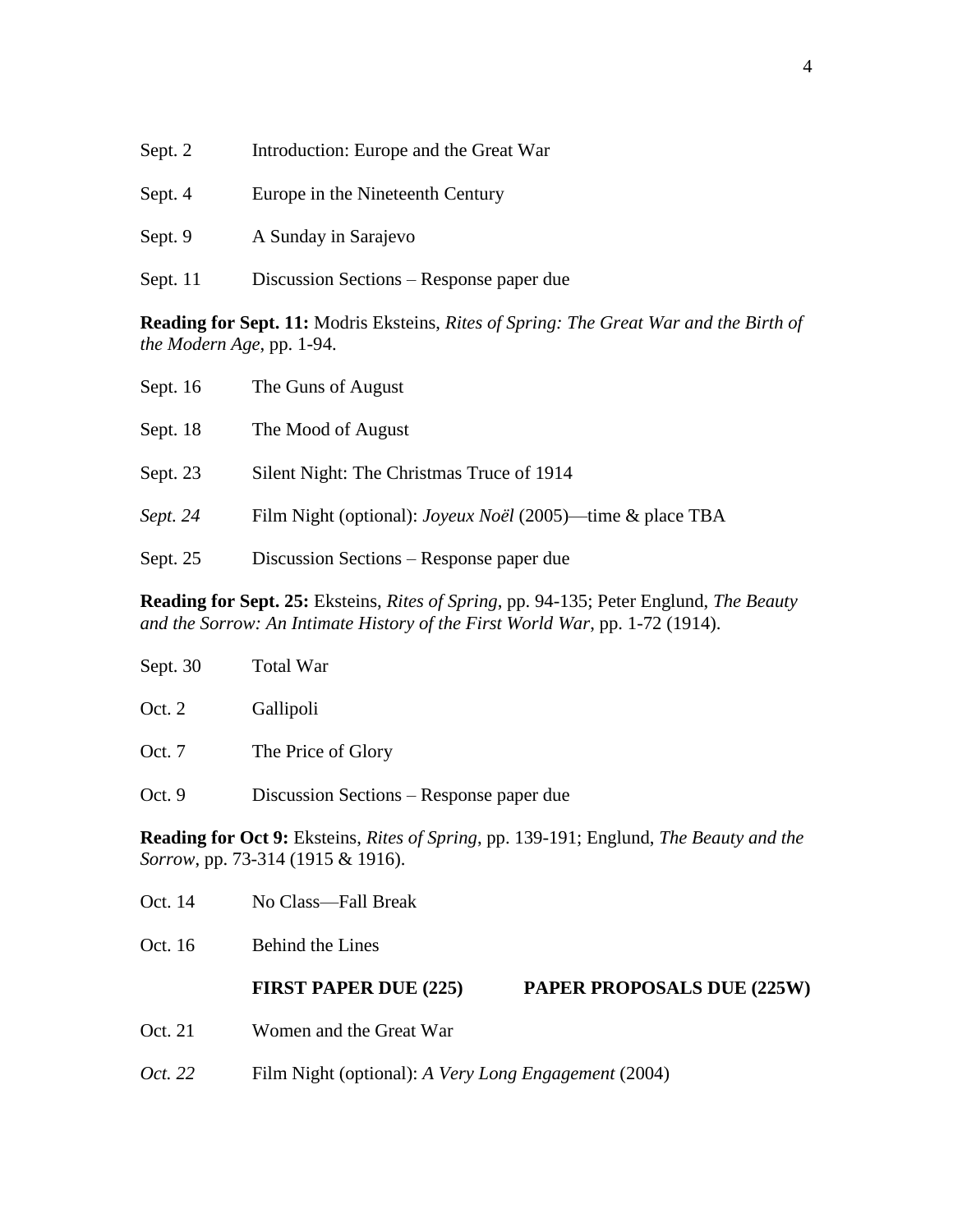| Sept. 2  | Introduction: Europe and the Great War   |
|----------|------------------------------------------|
| Sept. 4  | Europe in the Nineteenth Century         |
| Sept. 9  | A Sunday in Sarajevo                     |
| Sept. 11 | Discussion Sections – Response paper due |

**Reading for Sept. 11:** Modris Eksteins, *Rites of Spring: The Great War and the Birth of the Modern Age*, pp. 1-94.

| Sept. $16$ | The Guns of August                                         |
|------------|------------------------------------------------------------|
| Sept. 18   | The Mood of August                                         |
| Sept. 23   | Silent Night: The Christmas Truce of 1914                  |
| Sept. 24   | Film Night (optional): Joyeux Noël (2005)—time & place TBA |
| Sept. 25   | Discussion Sections – Response paper due                   |

**Reading for Sept. 25:** Eksteins, *Rites of Spring*, pp. 94-135; Peter Englund, *The Beauty and the Sorrow: An Intimate History of the First World War*, pp. 1-72 (1914).

| Sept. 30                                                                                                                                          | <b>Total War</b>                                     |                                   |
|---------------------------------------------------------------------------------------------------------------------------------------------------|------------------------------------------------------|-----------------------------------|
| Oct. $2$                                                                                                                                          | Gallipoli                                            |                                   |
| Oct. 7                                                                                                                                            | The Price of Glory                                   |                                   |
| Oct.9                                                                                                                                             | Discussion Sections – Response paper due             |                                   |
| <b>Reading for Oct 9:</b> Eksteins, <i>Rites of Spring</i> , pp. 139-191; Englund, <i>The Beauty and the</i><br>Sorrow, pp. 73-314 (1915 & 1916). |                                                      |                                   |
| Oct. 14                                                                                                                                           | No Class—Fall Break                                  |                                   |
| Oct. 16                                                                                                                                           | <b>Behind the Lines</b>                              |                                   |
|                                                                                                                                                   | <b>FIRST PAPER DUE (225)</b>                         | <b>PAPER PROPOSALS DUE (225W)</b> |
| Oct. 21                                                                                                                                           | Women and the Great War                              |                                   |
| Oct. 22                                                                                                                                           | Film Night (optional): A Very Long Engagement (2004) |                                   |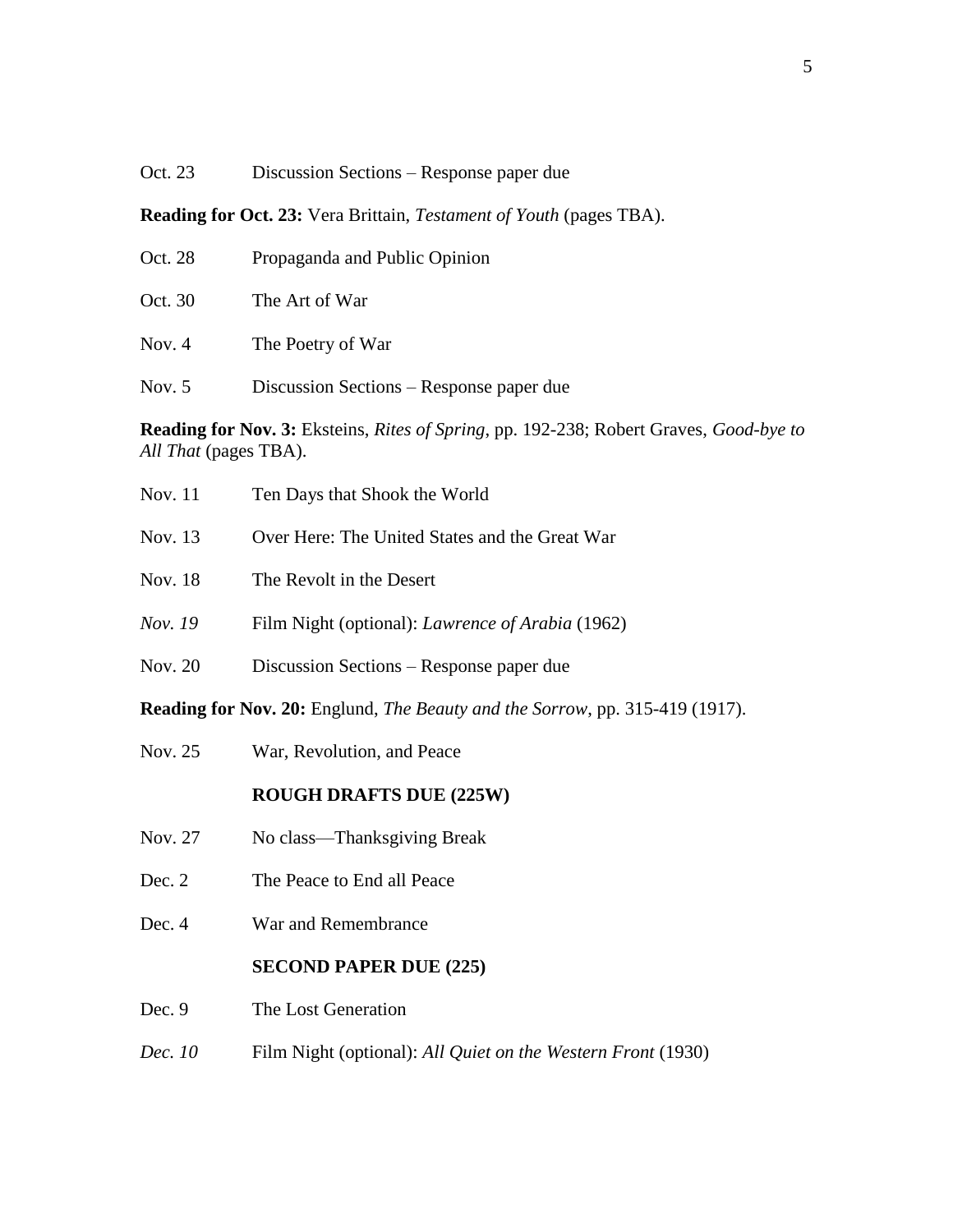# Oct. 23 Discussion Sections – Response paper due

**Reading for Oct. 23:** Vera Brittain, *Testament of Youth* (pages TBA).

| Propaganda and Public Opinion |
|-------------------------------|
| The Art of War                |
| The Poetry of War             |
|                               |

Nov. 5 Discussion Sections – Response paper due

**Reading for Nov. 3:** Eksteins, *Rites of Spring*, pp. 192-238; Robert Graves, *Good-bye to All That* (pages TBA).

| <b>Nov.</b> 11                                                                              | Ten Days that Shook the World                           |  |
|---------------------------------------------------------------------------------------------|---------------------------------------------------------|--|
| Nov. 13                                                                                     | Over Here: The United States and the Great War          |  |
| Nov. 18                                                                                     | The Revolt in the Desert                                |  |
| Nov. 19                                                                                     | Film Night (optional): <i>Lawrence of Arabia</i> (1962) |  |
| Nov. 20                                                                                     | Discussion Sections – Response paper due                |  |
| <b>Reading for Nov. 20:</b> Englund, <i>The Beauty and the Sorrow</i> , pp. 315-419 (1917). |                                                         |  |
| Nov. 25                                                                                     | War, Revolution, and Peace                              |  |

# **ROUGH DRAFTS DUE (225W)**

- Nov. 27 No class—Thanksgiving Break
- Dec. 2 The Peace to End all Peace
- Dec. 4 War and Remembrance

# **SECOND PAPER DUE (225)**

- Dec. 9 The Lost Generation
- *Dec. 10* Film Night (optional): *All Quiet on the Western Front* (1930)